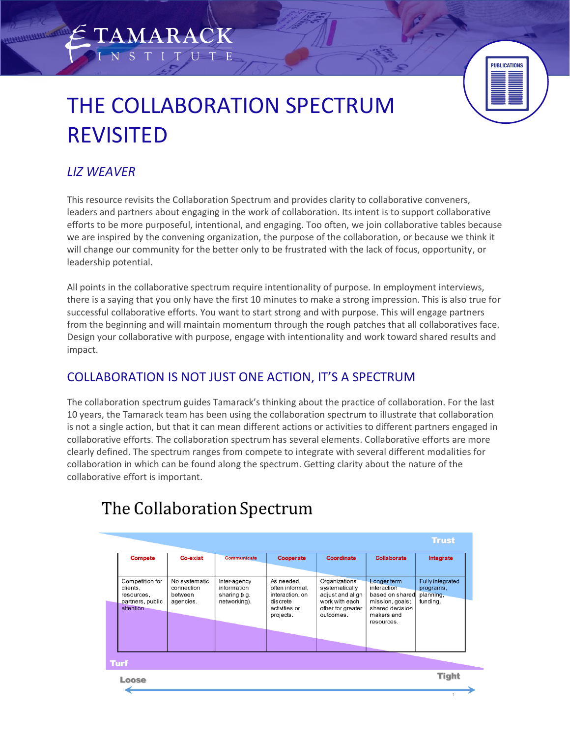# THE COLLABORATION SPECTRUM REVISITED

**AMARACK** 



### *LIZ WEAVER*

This resource revisits the Collaboration Spectrum and provides clarity to collaborative conveners, leaders and partners about engaging in the work of collaboration. Its intent is to support collaborative efforts to be more purposeful, intentional, and engaging. Too often, we join collaborative tables because we are inspired by the convening organization, the purpose of the collaboration, or because we think it will change our community for the better only to be frustrated with the lack of focus, opportunity, or leadership potential.

All points in the collaborative spectrum require intentionality of purpose. In employment interviews, there is a saying that you only have the first 10 minutes to make a strong impression. This is also true for successful collaborative efforts. You want to start strong and with purpose. This will engage partners from the beginning and will maintain momentum through the rough patches that all collaboratives face. Design your collaborative with purpose, engage with intentionality and work toward shared results and impact.

# COLLABORATION IS NOT JUST ONE ACTION, IT'S A SPECTRUM

The collaboration spectrum guides Tamarack's thinking about the practice of collaboration. For the last 10 years, the Tamarack team has been using the collaboration spectrum to illustrate that collaboration is not a single action, but that it can mean different actions or activities to different partners engaged in collaborative efforts. The collaboration spectrum has several elements. Collaborative efforts are more clearly defined. The spectrum ranges from compete to integrate with several different modalities for collaboration in which can be found along the spectrum. Getting clarity about the nature of the collaborative effort is important.



# The Collaboration Spectrum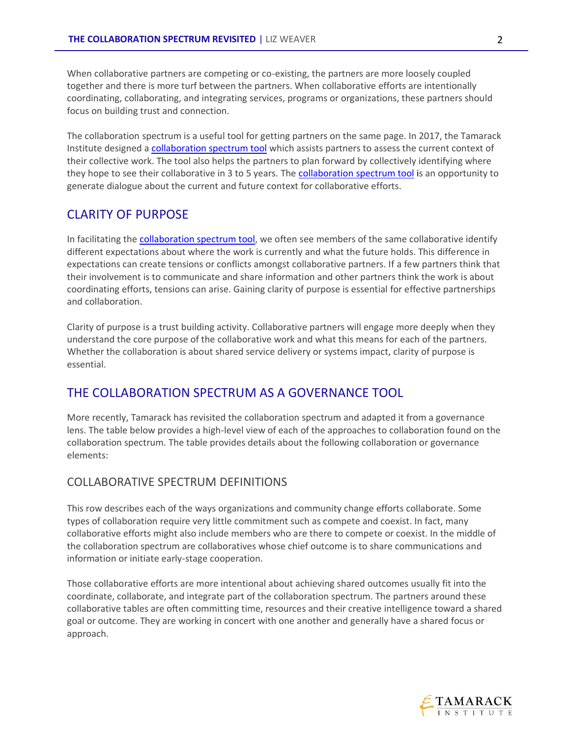When collaborative partners are competing or co-existing, the partners are more loosely coupled together and there is more turf between the partners. When collaborative efforts are intentionally coordinating, collaborating, and integrating services, programs or organizations, these partners should focus on building trust and connection.

The collaboration spectrum is a useful tool for getting partners on the same page. In 2017, the Tamarack Institute designed [a collaboration spectrum tool](https://www.tamarackcommunity.ca/hubfs/Resources/Tools/Collaboration%20Spectrum%20Tool%20July%202017.pdf?hsCtaTracking=3d55b1d4-3f96-49f8-9709-417ef39b002c%7Caebc4461-6671-4a55-9904-d6af0ebca656) which assists partners to assess the current context of their collective work. The tool also helps the partners to plan forward by collectively identifying where they hope to see their collaborative in 3 to 5 years. The [collaboration spectrum tool](https://www.tamarackcommunity.ca/hubfs/Resources/Tools/Collaboration%20Spectrum%20Tool%20July%202017.pdf?hsCtaTracking=3d55b1d4-3f96-49f8-9709-417ef39b002c%7Caebc4461-6671-4a55-9904-d6af0ebca656) is an opportunity to generate dialogue about the current and future context for collaborative efforts.

#### CLARITY OF PURPOSE

In facilitating the [collaboration spectrum tool,](https://www.tamarackcommunity.ca/hubfs/Resources/Tools/Collaboration%20Spectrum%20Tool%20July%202017.pdf?hsCtaTracking=3d55b1d4-3f96-49f8-9709-417ef39b002c%7Caebc4461-6671-4a55-9904-d6af0ebca656) we often see members of the same collaborative identify different expectations about where the work is currently and what the future holds. This difference in expectations can create tensions or conflicts amongst collaborative partners. If a few partners think that their involvement is to communicate and share information and other partners think the work is about coordinating efforts, tensions can arise. Gaining clarity of purpose is essential for effective partnerships and collaboration.

Clarity of purpose is a trust building activity. Collaborative partners will engage more deeply when they understand the core purpose of the collaborative work and what this means for each of the partners. Whether the collaboration is about shared service delivery or systems impact, clarity of purpose is essential.

### THE COLLABORATION SPECTRUM AS A GOVERNANCE TOOL

More recently, Tamarack has revisited the collaboration spectrum and adapted it from a governance lens. The table below provides a high-level view of each of the approaches to collaboration found on the collaboration spectrum. The table provides details about the following collaboration or governance elements:

#### COLLABORATIVE SPECTRUM DEFINITIONS

This row describes each of the ways organizations and community change efforts collaborate. Some types of collaboration require very little commitment such as compete and coexist. In fact, many collaborative efforts might also include members who are there to compete or coexist. In the middle of the collaboration spectrum are collaboratives whose chief outcome is to share communications and information or initiate early-stage cooperation.

Those collaborative efforts are more intentional about achieving shared outcomes usually fit into the coordinate, collaborate, and integrate part of the collaboration spectrum. The partners around these collaborative tables are often committing time, resources and their creative intelligence toward a shared goal or outcome. They are working in concert with one another and generally have a shared focus or approach.

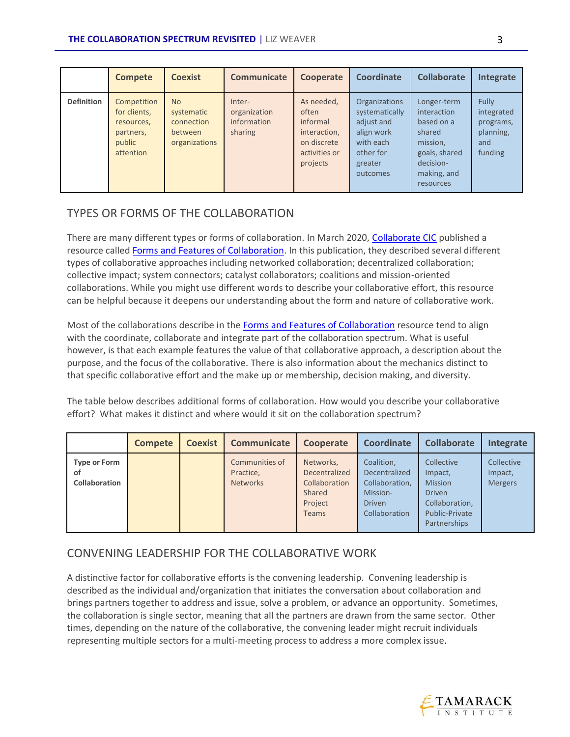|                   | <b>Compete</b>                                                                | <b>Coexist</b>                                                    | <b>Communicate</b>                               | Cooperate                                                                                   | Coordinate                                                                                                   | <b>Collaborate</b>                                                                                                       | Integrate                                                       |
|-------------------|-------------------------------------------------------------------------------|-------------------------------------------------------------------|--------------------------------------------------|---------------------------------------------------------------------------------------------|--------------------------------------------------------------------------------------------------------------|--------------------------------------------------------------------------------------------------------------------------|-----------------------------------------------------------------|
| <b>Definition</b> | Competition<br>for clients,<br>resources,<br>partners,<br>public<br>attention | <b>No</b><br>systematic<br>connection<br>between<br>organizations | Inter-<br>organization<br>information<br>sharing | As needed,<br>often<br>informal<br>interaction,<br>on discrete<br>activities or<br>projects | Organizations<br>systematically<br>adjust and<br>align work<br>with each<br>other for<br>greater<br>outcomes | Longer-term<br>interaction<br>based on a<br>shared<br>mission,<br>goals, shared<br>decision-<br>making, and<br>resources | Fully<br>integrated<br>programs,<br>planning,<br>and<br>funding |

#### TYPES OR FORMS OF THE COLLABORATION

There are many different types or forms of collaboration. In March 2020, [Collaborate CIC](https://collaboratecic.com/) published a resource called [Forms and Features of Collaboration.](https://collaboratecic.com/forms-and-features-of-collaboration-50e9aef9525) In this publication, they described several different types of collaborative approaches including networked collaboration; decentralized collaboration; collective impact; system connectors; catalyst collaborators; coalitions and mission-oriented collaborations. While you might use different words to describe your collaborative effort, this resource can be helpful because it deepens our understanding about the form and nature of collaborative work.

Most of the collaborations describe in the [Forms and Features of Collaboration](https://collaboratecic.com/forms-and-features-of-collaboration-50e9aef9525) resource tend to align with the coordinate, collaborate and integrate part of the collaboration spectrum. What is useful however, is that each example features the value of that collaborative approach, a description about the purpose, and the focus of the collaborative. There is also information about the mechanics distinct to that specific collaborative effort and the make up or membership, decision making, and diversity.

The table below describes additional forms of collaboration. How would you describe your collaborative effort? What makes it distinct and where would it sit on the collaboration spectrum?

|                                            | <b>Compete</b> | <b>Coexist</b> | <b>Communicate</b>                             | Cooperate                                                                        | <b>Coordinate</b>                                                                           | <b>Collaborate</b>                                                                                           | Integrate                               |
|--------------------------------------------|----------------|----------------|------------------------------------------------|----------------------------------------------------------------------------------|---------------------------------------------------------------------------------------------|--------------------------------------------------------------------------------------------------------------|-----------------------------------------|
| <b>Type or Form</b><br>οf<br>Collaboration |                |                | Communities of<br>Practice,<br><b>Networks</b> | Networks,<br>Decentralized<br>Collaboration<br>Shared<br>Project<br><b>Teams</b> | Coalition,<br>Decentralized<br>Collaboration,<br>Mission-<br><b>Driven</b><br>Collaboration | Collective<br>Impact,<br><b>Mission</b><br><b>Driven</b><br>Collaboration,<br>Public-Private<br>Partnerships | Collective<br>Impact,<br><b>Mergers</b> |

#### CONVENING LEADERSHIP FOR THE COLLABORATIVE WORK

A distinctive factor for collaborative efforts is the convening leadership. Convening leadership is described as the individual and/organization that initiates the conversation about collaboration and brings partners together to address and issue, solve a problem, or advance an opportunity. Sometimes, the collaboration is single sector, meaning that all the partners are drawn from the same sector. Other times, depending on the nature of the collaborative, the convening leader might recruit individuals representing multiple sectors for a multi-meeting process to address a more complex issue.

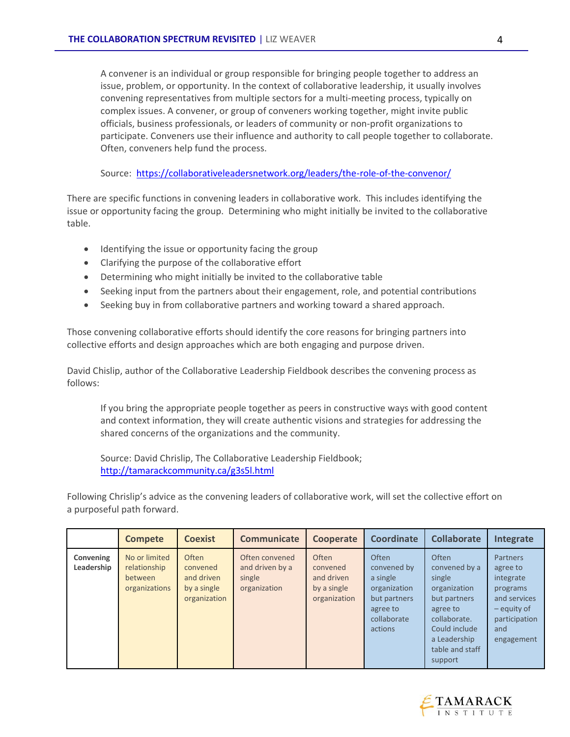A convener is an individual or group responsible for bringing people together to address an issue, problem, or opportunity. In the context of collaborative leadership, it usually involves convening representatives from multiple sectors for a multi-meeting process, typically on complex issues. A convener, or group of conveners working together, might invite public officials, business professionals, or leaders of community or non-profit organizations to participate. Conveners use their influence and authority to call people together to collaborate. Often, conveners help fund the process.

Source:<https://collaborativeleadersnetwork.org/leaders/the-role-of-the-convenor/>

There are specific functions in convening leaders in collaborative work. This includes identifying the issue or opportunity facing the group. Determining who might initially be invited to the collaborative table.

- Identifying the issue or opportunity facing the group
- Clarifying the purpose of the collaborative effort
- Determining who might initially be invited to the collaborative table
- Seeking input from the partners about their engagement, role, and potential contributions
- Seeking buy in from collaborative partners and working toward a shared approach.

Those convening collaborative efforts should identify the core reasons for bringing partners into collective efforts and design approaches which are both engaging and purpose driven.

David Chislip, author of the Collaborative Leadership Fieldbook describes the convening process as follows:

If you bring the appropriate people together as peers in constructive ways with good content and context information, they will create authentic visions and strategies for addressing the shared concerns of the organizations and the community.

Source: David Chrislip, The Collaborative Leadership Fieldbook; <http://tamarackcommunity.ca/g3s5l.html>

Following Chrislip's advice as the convening leaders of collaborative work, will set the collective effort on a purposeful path forward.

|                         | <b>Compete</b>                                            | <b>Coexist</b>                                                 | <b>Communicate</b>                                          | Cooperate                                                      | <b>Coordinate</b>                                                                                      | <b>Collaborate</b>                                                                                                                                          | Integrate                                                                                                          |
|-------------------------|-----------------------------------------------------------|----------------------------------------------------------------|-------------------------------------------------------------|----------------------------------------------------------------|--------------------------------------------------------------------------------------------------------|-------------------------------------------------------------------------------------------------------------------------------------------------------------|--------------------------------------------------------------------------------------------------------------------|
| Convening<br>Leadership | No or limited<br>relationship<br>between<br>organizations | Often<br>convened<br>and driven<br>by a single<br>organization | Often convened<br>and driven by a<br>single<br>organization | Often<br>convened<br>and driven<br>by a single<br>organization | Often<br>convened by<br>a single<br>organization<br>but partners<br>agree to<br>collaborate<br>actions | Often<br>convened by a<br>single<br>organization<br>but partners<br>agree to<br>collaborate.<br>Could include<br>a Leadership<br>table and staff<br>support | Partners<br>agree to<br>integrate<br>programs<br>and services<br>- equity of<br>participation<br>and<br>engagement |

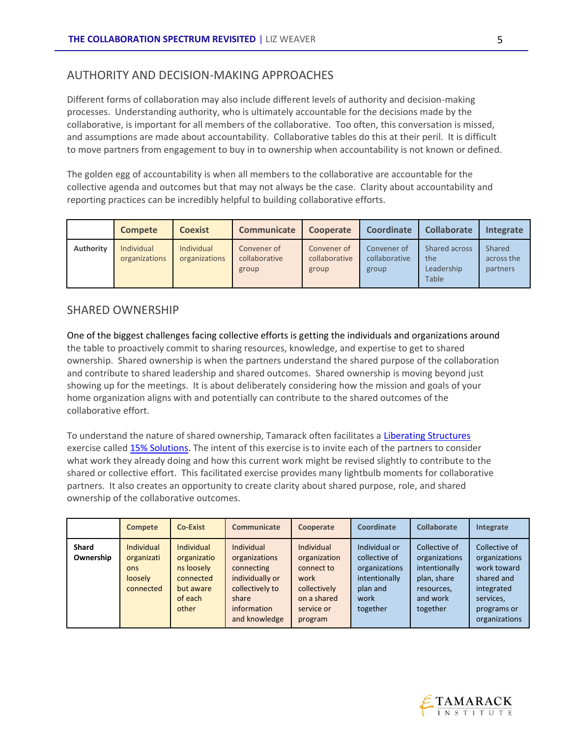#### AUTHORITY AND DECISION-MAKING APPROACHES

Different forms of collaboration may also include different levels of authority and decision-making processes. Understanding authority, who is ultimately accountable for the decisions made by the collaborative, is important for all members of the collaborative. Too often, this conversation is missed, and assumptions are made about accountability. Collaborative tables do this at their peril. It is difficult to move partners from engagement to buy in to ownership when accountability is not known or defined.

The golden egg of accountability is when all members to the collaborative are accountable for the collective agenda and outcomes but that may not always be the case. Clarity about accountability and reporting practices can be incredibly helpful to building collaborative efforts.

|           | <b>Compete</b>                     | <b>Coexist</b>                     | Communicate                           | Cooperate                             | <b>Coordinate</b>                     | <b>Collaborate</b>                          | Integrate                        |
|-----------|------------------------------------|------------------------------------|---------------------------------------|---------------------------------------|---------------------------------------|---------------------------------------------|----------------------------------|
| Authority | <b>Individual</b><br>organizations | <b>Individual</b><br>organizations | Convener of<br>collaborative<br>group | Convener of<br>collaborative<br>group | Convener of<br>collaborative<br>group | Shared across<br>the<br>Leadership<br>Table | Shared<br>across the<br>partners |

#### SHARED OWNERSHIP

One of the biggest challenges facing collective efforts is getting the individuals and organizations around the table to proactively commit to sharing resources, knowledge, and expertise to get to shared ownership. Shared ownership is when the partners understand the shared purpose of the collaboration and contribute to shared leadership and shared outcomes. Shared ownership is moving beyond just showing up for the meetings. It is about deliberately considering how the mission and goals of your home organization aligns with and potentially can contribute to the shared outcomes of the collaborative effort.

To understand the nature of shared ownership, Tamarack often facilitates a [Liberating Structures](https://www.liberatingstructures.com/) exercise calle[d 15% Solutions.](https://www.liberatingstructures.com/7-15-solutions/) The intent of this exercise is to invite each of the partners to consider what work they already doing and how this current work might be revised slightly to contribute to the shared or collective effort. This facilitated exercise provides many lightbulb moments for collaborative partners. It also creates an opportunity to create clarity about shared purpose, role, and shared ownership of the collaborative outcomes.

|                           | <b>Compete</b>                                                 | <b>Co-Exist</b>                                                                              | Communicate                                                                                                              | Cooperate                                                                                                       | Coordinate                                                                                       | Collaborate                                                                                          | Integrate                                                                                                              |
|---------------------------|----------------------------------------------------------------|----------------------------------------------------------------------------------------------|--------------------------------------------------------------------------------------------------------------------------|-----------------------------------------------------------------------------------------------------------------|--------------------------------------------------------------------------------------------------|------------------------------------------------------------------------------------------------------|------------------------------------------------------------------------------------------------------------------------|
| <b>Shard</b><br>Ownership | <b>Individual</b><br>organizati<br>ons<br>loosely<br>connected | <b>Individual</b><br>organizatio<br>ns loosely<br>connected<br>but aware<br>of each<br>other | Individual<br>organizations<br>connecting<br>individually or<br>collectively to<br>share<br>information<br>and knowledge | <b>Individual</b><br>organization<br>connect to<br>work<br>collectively<br>on a shared<br>service or<br>program | Individual or<br>collective of<br>organizations<br>intentionally<br>plan and<br>work<br>together | Collective of<br>organizations<br>intentionally<br>plan, share<br>resources,<br>and work<br>together | Collective of<br>organizations<br>work toward<br>shared and<br>integrated<br>services,<br>programs or<br>organizations |

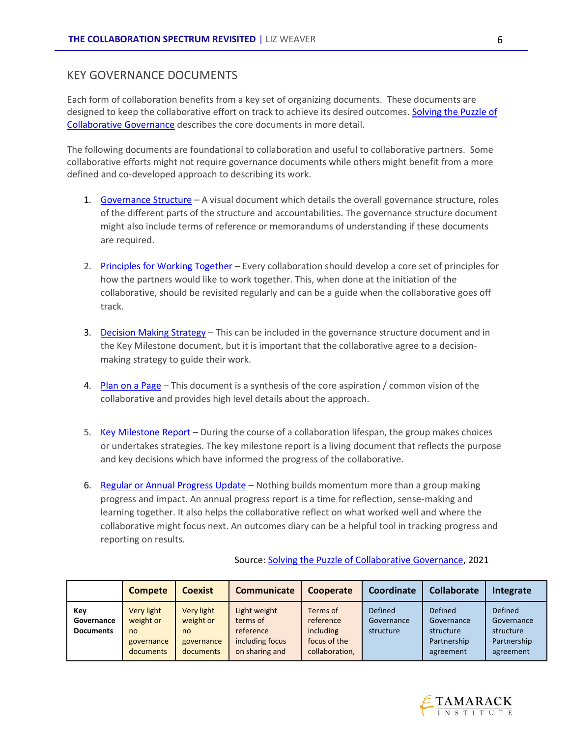#### KEY GOVERNANCE DOCUMENTS

Each form of collaboration benefits from a key set of organizing documents. These documents are designed to keep the collaborative effort on track to achieve its desired outcomes. [Solving the Puzzle of](https://www.tamarackcommunity.ca/library/solving-the-puzzle-of-collaborative-governance?utm_campaign=Engage%21&utm_source=hs_email&utm_medium=email&_hsenc=p2ANqtz--kxpmLTteANeupLbsslTl9MWMiu-iR4dJCFMmcX8ng7960wCV0AyKNfy8-_wQzkViKyV-6vHTNFEvSZXIzEx14ZEpe-A)  [Collaborative Governance](https://www.tamarackcommunity.ca/library/solving-the-puzzle-of-collaborative-governance?utm_campaign=Engage%21&utm_source=hs_email&utm_medium=email&_hsenc=p2ANqtz--kxpmLTteANeupLbsslTl9MWMiu-iR4dJCFMmcX8ng7960wCV0AyKNfy8-_wQzkViKyV-6vHTNFEvSZXIzEx14ZEpe-A) describes the core documents in more detail.

The following documents are foundational to collaboration and useful to collaborative partners. Some collaborative efforts might not require governance documents while others might benefit from a more defined and co-developed approach to describing its work.

- 1. [Governance Structure](https://www.tamarackcommunity.ca/hubfs/Resources/Tools/Tool%20-%20Collaborative%20Governance%20Framework.pdf) A visual document which details the overall governance structure, roles of the different parts of the structure and accountabilities. The governance structure document might also include terms of reference or memorandums of understanding if these documents are required.
- 2. [Principles for Working Together](https://www.tamarackcommunity.ca/library/establishing-values-and-principles-for-working-together-tool) Every collaboration should develop a core set of principles for how the partners would like to work together. This, when done at the initiation of the collaborative, should be revisited regularly and can be a guide when the collaborative goes off track.
- 3. [Decision Making Strategy](https://www.pleus.net/download/agiledecisions.pdf) This can be included in the governance structure document and in the Key Milestone document, but it is important that the collaborative agree to a decisionmaking strategy to guide their work.
- 4. [Plan on a Page](https://www.tamarackcommunity.ca/latest/a-collective-impact-tool-building-a-plan-on-a-page) This document is a synthesis of the core aspiration / common vision of the collaborative and provides high level details about the approach.
- 5. [Key Milestone Report](https://www.tamarackcommunity.ca/library/key-milestone-report-tool) During the course of a collaboration lifespan, the group makes choices or undertakes strategies. The key milestone report is a living document that reflects the purpose and key decisions which have informed the progress of the collaborative.
- 6. [Regular or Annual Progress Update](https://www.tamarackcommunity.ca/library/tracking-change-through-an-outcomes-diary) Nothing builds momentum more than a group making progress and impact. An annual progress report is a time for reflection, sense-making and learning together. It also helps the collaborative reflect on what worked well and where the collaborative might focus next. An outcomes diary can be a helpful tool in tracking progress and reporting on results.

|                  | <b>Compete</b> | <b>Coexist</b> | Communicate     | Cooperate      | Coordinate | <b>Collaborate</b> | Integrate      |
|------------------|----------------|----------------|-----------------|----------------|------------|--------------------|----------------|
| Key              | Very light     | Very light     | Light weight    | Terms of       | Defined    | <b>Defined</b>     | <b>Defined</b> |
| Governance       | weight or      | weight or      | terms of        | reference      | Governance | Governance         | Governance     |
| <b>Documents</b> | no             | no             | reference       | including      | structure  | structure          | structure      |
|                  | governance     | governance     | including focus | focus of the   |            | Partnership        | Partnership    |
|                  | documents      | documents      | on sharing and  | collaboration, |            | agreement          | agreement      |

#### Source: [Solving the Puzzle of Collaborative Governance,](https://www.tamarackcommunity.ca/library/solving-the-puzzle-of-collaborative-governance?utm_campaign=Engage%21&utm_source=hs_email&utm_medium=email&_hsenc=p2ANqtz--kxpmLTteANeupLbsslTl9MWMiu-iR4dJCFMmcX8ng7960wCV0AyKNfy8-_wQzkViKyV-6vHTNFEvSZXIzEx14ZEpe-A) 2021

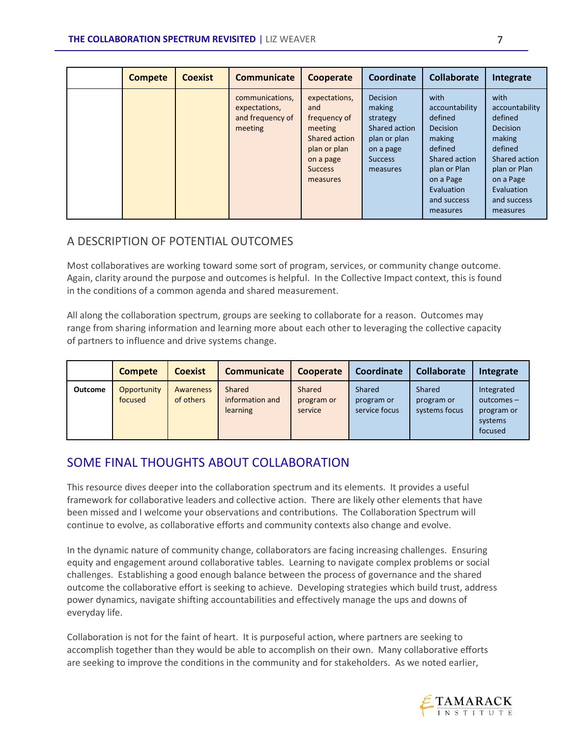| <b>Compete</b> | <b>Coexist</b> | <b>Communicate</b>                                              | Cooperate                                                                                                                   | Coordinate                                                                                                        | <b>Collaborate</b>                                                                                                                                               | Integrate                                                                                                                                                        |
|----------------|----------------|-----------------------------------------------------------------|-----------------------------------------------------------------------------------------------------------------------------|-------------------------------------------------------------------------------------------------------------------|------------------------------------------------------------------------------------------------------------------------------------------------------------------|------------------------------------------------------------------------------------------------------------------------------------------------------------------|
|                |                | communications,<br>expectations,<br>and frequency of<br>meeting | expectations,<br>and<br>frequency of<br>meeting<br>Shared action<br>plan or plan<br>on a page<br><b>Success</b><br>measures | <b>Decision</b><br>making<br>strategy<br>Shared action<br>plan or plan<br>on a page<br><b>Success</b><br>measures | with<br>accountability<br>defined<br><b>Decision</b><br>making<br>defined<br>Shared action<br>plan or Plan<br>on a Page<br>Evaluation<br>and success<br>measures | with<br>accountability<br>defined<br><b>Decision</b><br>making<br>defined<br>Shared action<br>plan or Plan<br>on a Page<br>Evaluation<br>and success<br>measures |

#### A DESCRIPTION OF POTENTIAL OUTCOMES

Most collaboratives are working toward some sort of program, services, or community change outcome. Again, clarity around the purpose and outcomes is helpful. In the Collective Impact context, this is found in the conditions of a common agenda and shared measurement.

All along the collaboration spectrum, groups are seeking to collaborate for a reason. Outcomes may range from sharing information and learning more about each other to leveraging the collective capacity of partners to influence and drive systems change.

|         | <b>Compete</b>         | <b>Coexist</b>         | Communicate                           | Cooperate                       | Coordinate                            | <b>Collaborate</b>                    | Integrate                                                      |
|---------|------------------------|------------------------|---------------------------------------|---------------------------------|---------------------------------------|---------------------------------------|----------------------------------------------------------------|
| Outcome | Opportunity<br>focused | Awareness<br>of others | Shared<br>information and<br>learning | Shared<br>program or<br>service | Shared<br>program or<br>service focus | Shared<br>program or<br>systems focus | Integrated<br>$outcomes -$<br>program or<br>systems<br>focused |

# SOME FINAL THOUGHTS ABOUT COLLABORATION

This resource dives deeper into the collaboration spectrum and its elements. It provides a useful framework for collaborative leaders and collective action. There are likely other elements that have been missed and I welcome your observations and contributions. The Collaboration Spectrum will continue to evolve, as collaborative efforts and community contexts also change and evolve.

In the dynamic nature of community change, collaborators are facing increasing challenges. Ensuring equity and engagement around collaborative tables. Learning to navigate complex problems or social challenges. Establishing a good enough balance between the process of governance and the shared outcome the collaborative effort is seeking to achieve. Developing strategies which build trust, address power dynamics, navigate shifting accountabilities and effectively manage the ups and downs of everyday life.

Collaboration is not for the faint of heart. It is purposeful action, where partners are seeking to accomplish together than they would be able to accomplish on their own. Many collaborative efforts are seeking to improve the conditions in the community and for stakeholders. As we noted earlier,

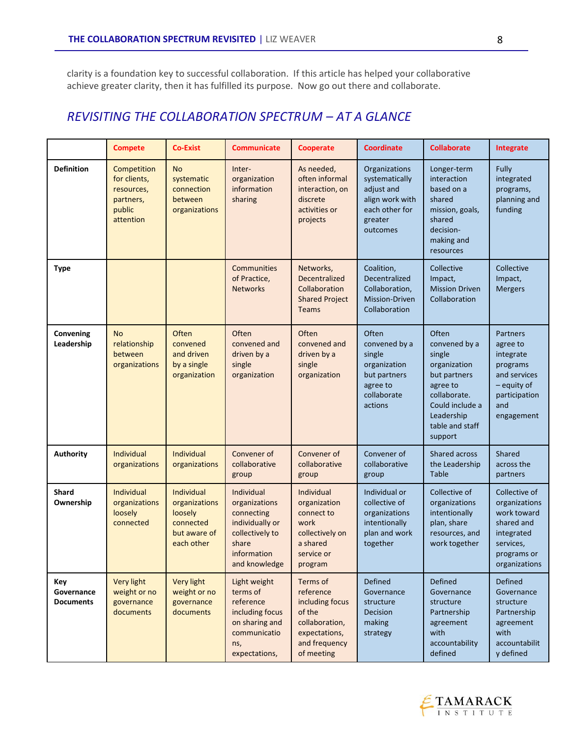clarity is a foundation key to successful collaboration. If this article has helped your collaborative achieve greater clarity, then it has fulfilled its purpose. Now go out there and collaborate.

# *REVISITING THE COLLABORATION SPECTRUM – AT A GLANCE*

|                                       | <b>Compete</b>                                                                | Co-Exist                                                                                 | <b>Communicate</b>                                                                                                       | <b>Cooperate</b>                                                                                                     | <b>Coordinate</b>                                                                                         | <b>Collaborate</b>                                                                                                                                          | Integrate                                                                                                              |
|---------------------------------------|-------------------------------------------------------------------------------|------------------------------------------------------------------------------------------|--------------------------------------------------------------------------------------------------------------------------|----------------------------------------------------------------------------------------------------------------------|-----------------------------------------------------------------------------------------------------------|-------------------------------------------------------------------------------------------------------------------------------------------------------------|------------------------------------------------------------------------------------------------------------------------|
| <b>Definition</b>                     | Competition<br>for clients,<br>resources,<br>partners,<br>public<br>attention | <b>No</b><br>systematic<br>connection<br>between<br>organizations                        | Inter-<br>organization<br>information<br>sharing                                                                         | As needed,<br>often informal<br>interaction, on<br>discrete<br>activities or<br>projects                             | Organizations<br>systematically<br>adjust and<br>align work with<br>each other for<br>greater<br>outcomes | Longer-term<br>interaction<br>based on a<br>shared<br>mission, goals,<br>shared<br>decision-<br>making and<br>resources                                     | Fully<br>integrated<br>programs,<br>planning and<br>funding                                                            |
| <b>Type</b>                           |                                                                               |                                                                                          | <b>Communities</b><br>of Practice,<br><b>Networks</b>                                                                    | Networks,<br>Decentralized<br>Collaboration<br><b>Shared Project</b><br><b>Teams</b>                                 | Coalition,<br>Decentralized<br>Collaboration,<br><b>Mission-Driven</b><br>Collaboration                   | Collective<br>Impact,<br><b>Mission Driven</b><br>Collaboration                                                                                             | Collective<br>Impact,<br><b>Mergers</b>                                                                                |
| Convening<br>Leadership               | <b>No</b><br>relationship<br>between<br>organizations                         | Often<br>convened<br>and driven<br>by a single<br>organization                           | Often<br>convened and<br>driven by a<br>single<br>organization                                                           | Often<br>convened and<br>driven by a<br>single<br>organization                                                       | Often<br>convened by a<br>single<br>organization<br>but partners<br>agree to<br>collaborate<br>actions    | Often<br>convened by a<br>single<br>organization<br>but partners<br>agree to<br>collaborate.<br>Could include a<br>Leadership<br>table and staff<br>support | Partners<br>agree to<br>integrate<br>programs<br>and services<br>- equity of<br>participation<br>and<br>engagement     |
| <b>Authority</b>                      | Individual<br>organizations                                                   | Individual<br>organizations                                                              | Convener of<br>collaborative<br>group                                                                                    | Convener of<br>collaborative<br>group                                                                                | Convener of<br>collaborative<br>group                                                                     | Shared across<br>the Leadership<br><b>Table</b>                                                                                                             | Shared<br>across the<br>partners                                                                                       |
| <b>Shard</b><br>Ownership             | <b>Individual</b><br>organizations<br>loosely<br>connected                    | <b>Individual</b><br>organizations<br>loosely<br>connected<br>but aware of<br>each other | Individual<br>organizations<br>connecting<br>individually or<br>collectively to<br>share<br>information<br>and knowledge | <b>Individual</b><br>organization<br>connect to<br>work<br>collectively on<br>a shared<br>service or<br>program      | Individual or<br>collective of<br>organizations<br>intentionally<br>plan and work<br>together             | Collective of<br>organizations<br>intentionally<br>plan, share<br>resources, and<br>work together                                                           | Collective of<br>organizations<br>work toward<br>shared and<br>integrated<br>services,<br>programs or<br>organizations |
| Key<br>Governance<br><b>Documents</b> | <b>Very light</b><br>weight or no<br>governance<br>documents                  | <b>Very light</b><br>weight or no<br>governance<br>documents                             | Light weight<br>terms of<br>reference<br>including focus<br>on sharing and<br>communicatio<br>ns,<br>expectations,       | Terms of<br>reference<br>including focus<br>of the<br>collaboration,<br>expectations,<br>and frequency<br>of meeting | Defined<br>Governance<br>structure<br>Decision<br>making<br>strategy                                      | <b>Defined</b><br>Governance<br>structure<br>Partnership<br>agreement<br>with<br>accountability<br>defined                                                  | Defined<br>Governance<br>structure<br>Partnership<br>agreement<br>with<br>accountabilit<br>y defined                   |